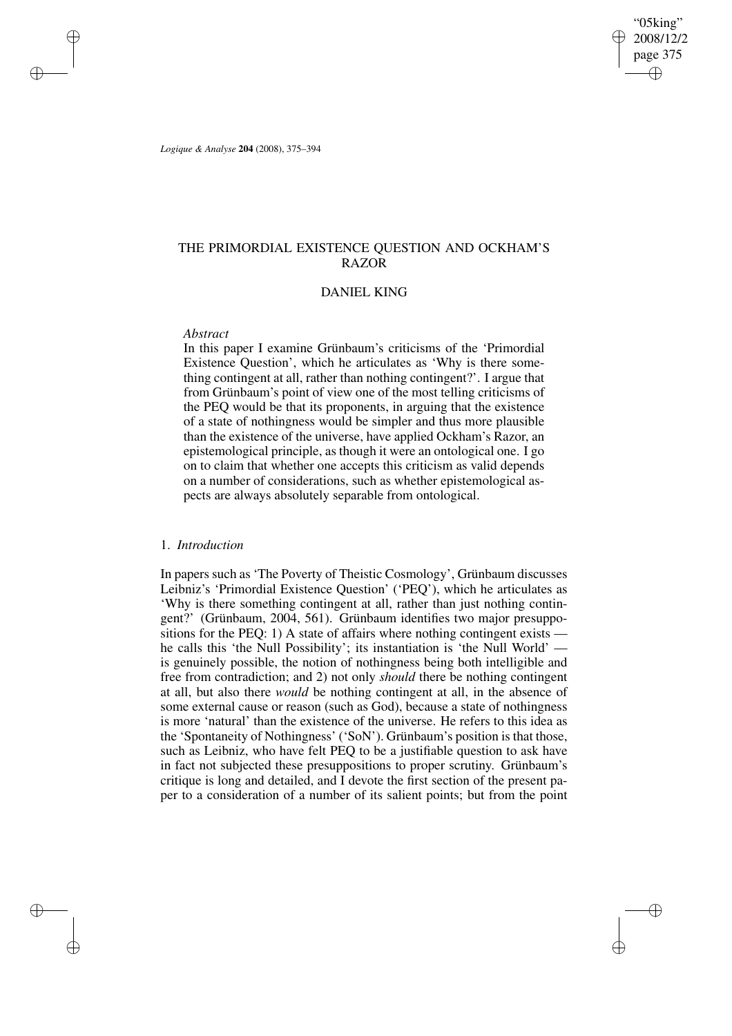"05king" 2008/12/2 page 375 ✐ ✐

✐

✐

*Logique & Analyse* **204** (2008), 375–394

✐

✐

✐

✐

# THE PRIMORDIAL EXISTENCE QUESTION AND OCKHAM'S RAZOR

## DANIEL KING

## *Abstract*

In this paper I examine Grünbaum's criticisms of the 'Primordial Existence Question', which he articulates as 'Why is there something contingent at all, rather than nothing contingent?'. I argue that from Grünbaum's point of view one of the most telling criticisms of the PEQ would be that its proponents, in arguing that the existence of a state of nothingness would be simpler and thus more plausible than the existence of the universe, have applied Ockham's Razor, an epistemological principle, as though it were an ontological one. I go on to claim that whether one accepts this criticism as valid depends on a number of considerations, such as whether epistemological aspects are always absolutely separable from ontological.

## 1. *Introduction*

In papers such as 'The Poverty of Theistic Cosmology', Grünbaum discusses Leibniz's 'Primordial Existence Question' ('PEQ'), which he articulates as 'Why is there something contingent at all, rather than just nothing contingent?' (Grünbaum, 2004, 561). Grünbaum identifies two major presuppositions for the PEQ: 1) A state of affairs where nothing contingent exists he calls this 'the Null Possibility'; its instantiation is 'the Null World' is genuinely possible, the notion of nothingness being both intelligible and free from contradiction; and 2) not only *should* there be nothing contingent at all, but also there *would* be nothing contingent at all, in the absence of some external cause or reason (such as God), because a state of nothingness is more 'natural' than the existence of the universe. He refers to this idea as the 'Spontaneity of Nothingness' ('SoN'). Grünbaum's position is that those, such as Leibniz, who have felt PEQ to be a justifiable question to ask have in fact not subjected these presuppositions to proper scrutiny. Grünbaum's critique is long and detailed, and I devote the first section of the present paper to a consideration of a number of its salient points; but from the point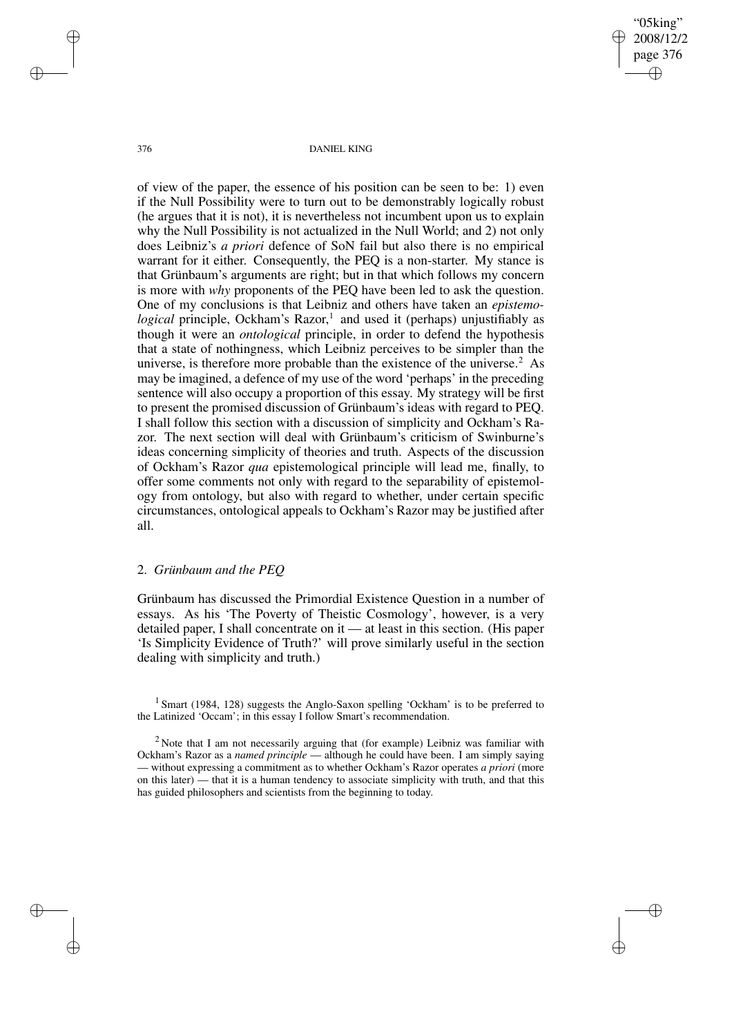376 DANIEL KING

"05king" 2008/12/2 page 376

✐

✐

✐

✐

of view of the paper, the essence of his position can be seen to be: 1) even if the Null Possibility were to turn out to be demonstrably logically robust (he argues that it is not), it is nevertheless not incumbent upon us to explain why the Null Possibility is not actualized in the Null World; and 2) not only does Leibniz's *a priori* defence of SoN fail but also there is no empirical warrant for it either. Consequently, the PEQ is a non-starter. My stance is that Grünbaum's arguments are right; but in that which follows my concern is more with *why* proponents of the PEQ have been led to ask the question. One of my conclusions is that Leibniz and others have taken an *epistemological* principle, Ockham's Razor, 1 and used it (perhaps) unjustifiably as though it were an *ontological* principle, in order to defend the hypothesis that a state of nothingness, which Leibniz perceives to be simpler than the universe, is therefore more probable than the existence of the universe.<sup>2</sup> As may be imagined, a defence of my use of the word 'perhaps' in the preceding sentence will also occupy a proportion of this essay. My strategy will be first to present the promised discussion of Grünbaum's ideas with regard to PEQ. I shall follow this section with a discussion of simplicity and Ockham's Razor. The next section will deal with Grünbaum's criticism of Swinburne's ideas concerning simplicity of theories and truth. Aspects of the discussion of Ockham's Razor *qua* epistemological principle will lead me, finally, to offer some comments not only with regard to the separability of epistemology from ontology, but also with regard to whether, under certain specific circumstances, ontological appeals to Ockham's Razor may be justified after all.

## 2. *Grünbaum and the PEQ*

Grünbaum has discussed the Primordial Existence Question in a number of essays. As his 'The Poverty of Theistic Cosmology', however, is a very detailed paper, I shall concentrate on it — at least in this section. (His paper 'Is Simplicity Evidence of Truth?' will prove similarly useful in the section dealing with simplicity and truth.)

✐

✐

✐

<sup>&</sup>lt;sup>1</sup> Smart (1984, 128) suggests the Anglo-Saxon spelling 'Ockham' is to be preferred to the Latinized 'Occam'; in this essay I follow Smart's recommendation.

<sup>&</sup>lt;sup>2</sup> Note that I am not necessarily arguing that (for example) Leibniz was familiar with Ockham's Razor as a *named principle* — although he could have been. I am simply saying — without expressing a commitment as to whether Ockham's Razor operates *a priori* (more on this later) — that it is a human tendency to associate simplicity with truth, and that this has guided philosophers and scientists from the beginning to today.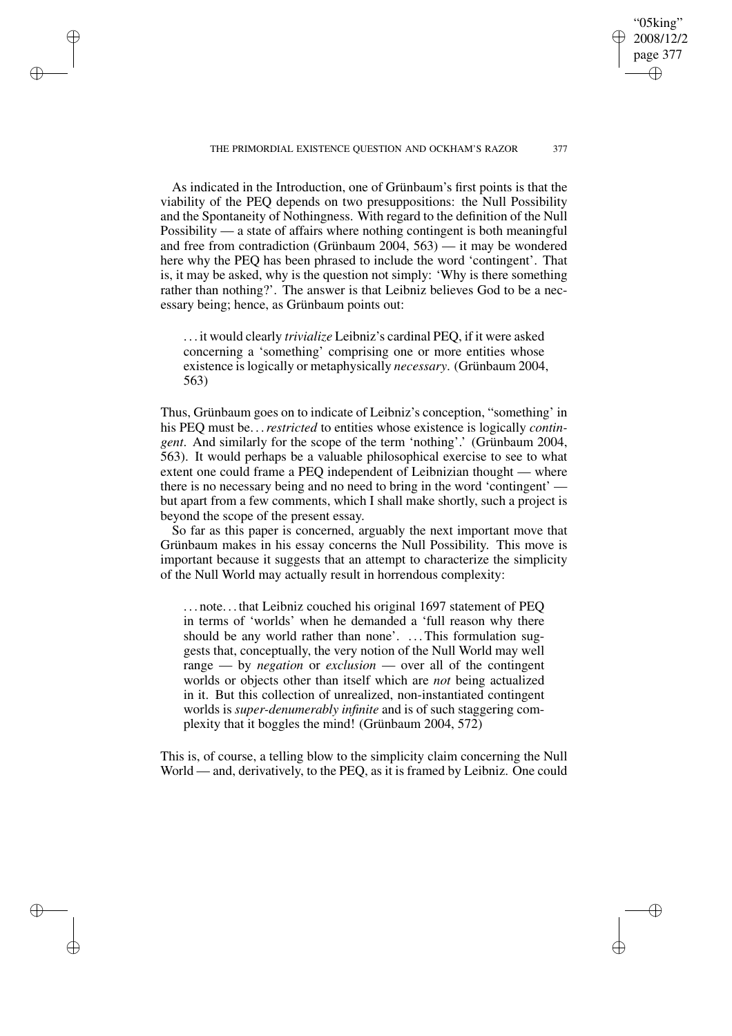"05king" 2008/12/2 page 377

✐

✐

✐

✐

As indicated in the Introduction, one of Grünbaum's first points is that the viability of the PEQ depends on two presuppositions: the Null Possibility and the Spontaneity of Nothingness. With regard to the definition of the Null Possibility — a state of affairs where nothing contingent is both meaningful and free from contradiction (Grünbaum 2004, 563) — it may be wondered here why the PEQ has been phrased to include the word 'contingent'. That is, it may be asked, why is the question not simply: 'Why is there something rather than nothing?'. The answer is that Leibniz believes God to be a necessary being; hence, as Grünbaum points out:

✐

✐

✐

✐

. . . it would clearly *trivialize* Leibniz's cardinal PEQ, if it were asked concerning a 'something' comprising one or more entities whose existence islogically or metaphysically *necessary*. (Grünbaum 2004, 563)

Thus, Grünbaum goes on to indicate of Leibniz's conception, "something' in his PEQ must be. . .*restricted* to entities whose existence is logically *contingent*. And similarly for the scope of the term 'nothing'.' (Grünbaum 2004, 563). It would perhaps be a valuable philosophical exercise to see to what extent one could frame a PEQ independent of Leibnizian thought — where there is no necessary being and no need to bring in the word 'contingent' but apart from a few comments, which I shall make shortly, such a project is beyond the scope of the present essay.

So far as this paper is concerned, arguably the next important move that Grünbaum makes in his essay concerns the Null Possibility. This move is important because it suggests that an attempt to characterize the simplicity of the Null World may actually result in horrendous complexity:

. . . note. . . that Leibniz couched his original 1697 statement of PEQ in terms of 'worlds' when he demanded a 'full reason why there should be any world rather than none'. ... This formulation suggests that, conceptually, the very notion of the Null World may well range — by *negation* or *exclusion* — over all of the contingent worlds or objects other than itself which are *not* being actualized in it. But this collection of unrealized, non-instantiated contingent worlds is *super-denumerably infinite* and is of such staggering complexity that it boggles the mind! (Grünbaum 2004, 572)

This is, of course, a telling blow to the simplicity claim concerning the Null World — and, derivatively, to the PEQ, as it is framed by Leibniz. One could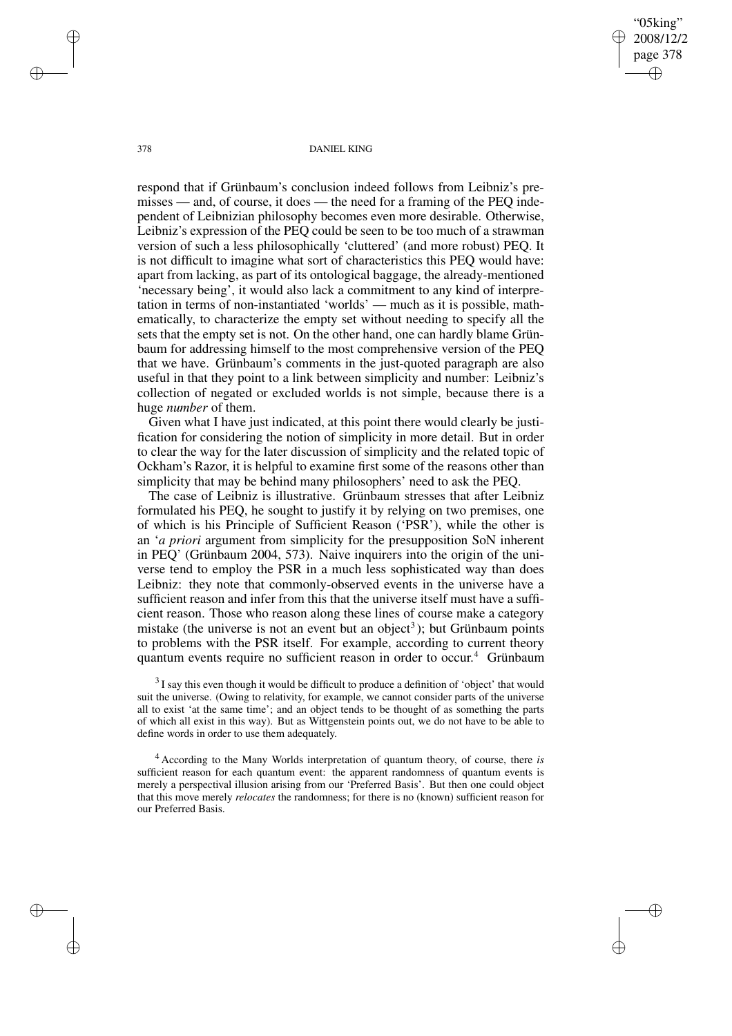"05king" 2008/12/2 page 378 ✐ ✐

✐

✐

378 DANIEL KING

respond that if Grünbaum's conclusion indeed follows from Leibniz's premisses — and, of course, it does — the need for a framing of the PEQ independent of Leibnizian philosophy becomes even more desirable. Otherwise, Leibniz's expression of the PEQ could be seen to be too much of a strawman version of such a less philosophically 'cluttered' (and more robust) PEQ. It is not difficult to imagine what sort of characteristics this PEQ would have: apart from lacking, as part of its ontological baggage, the already-mentioned 'necessary being', it would also lack a commitment to any kind of interpretation in terms of non-instantiated 'worlds' — much as it is possible, mathematically, to characterize the empty set without needing to specify all the sets that the empty set is not. On the other hand, one can hardly blame Grünbaum for addressing himself to the most comprehensive version of the PEQ that we have. Grünbaum's comments in the just-quoted paragraph are also useful in that they point to a link between simplicity and number: Leibniz's collection of negated or excluded worlds is not simple, because there is a huge *number* of them.

Given what I have just indicated, at this point there would clearly be justification for considering the notion of simplicity in more detail. But in order to clear the way for the later discussion of simplicity and the related topic of Ockham's Razor, it is helpful to examine first some of the reasons other than simplicity that may be behind many philosophers' need to ask the PEQ.

The case of Leibniz is illustrative. Grünbaum stresses that after Leibniz formulated his PEQ, he sought to justify it by relying on two premises, one of which is his Principle of Sufficient Reason ('PSR'), while the other is an '*a priori* argument from simplicity for the presupposition SoN inherent in PEQ' (Grünbaum 2004, 573). Naive inquirers into the origin of the universe tend to employ the PSR in a much less sophisticated way than does Leibniz: they note that commonly-observed events in the universe have a sufficient reason and infer from this that the universe itself must have a sufficient reason. Those who reason along these lines of course make a category mistake (the universe is not an event but an object<sup>3</sup>); but Grünbaum points to problems with the PSR itself. For example, according to current theory quantum events require no sufficient reason in order to occur. <sup>4</sup> Grünbaum

 $3$ I say this even though it would be difficult to produce a definition of 'object' that would suit the universe. (Owing to relativity, for example, we cannot consider parts of the universe all to exist 'at the same time'; and an object tends to be thought of as something the parts of which all exist in this way). But as Wittgenstein points out, we do not have to be able to define words in order to use them adequately.

<sup>4</sup> According to the Many Worlds interpretation of quantum theory, of course, there *is* sufficient reason for each quantum event: the apparent randomness of quantum events is merely a perspectival illusion arising from our 'Preferred Basis'. But then one could object that this move merely *relocates* the randomness; for there is no (known) sufficient reason for our Preferred Basis.

✐

✐

✐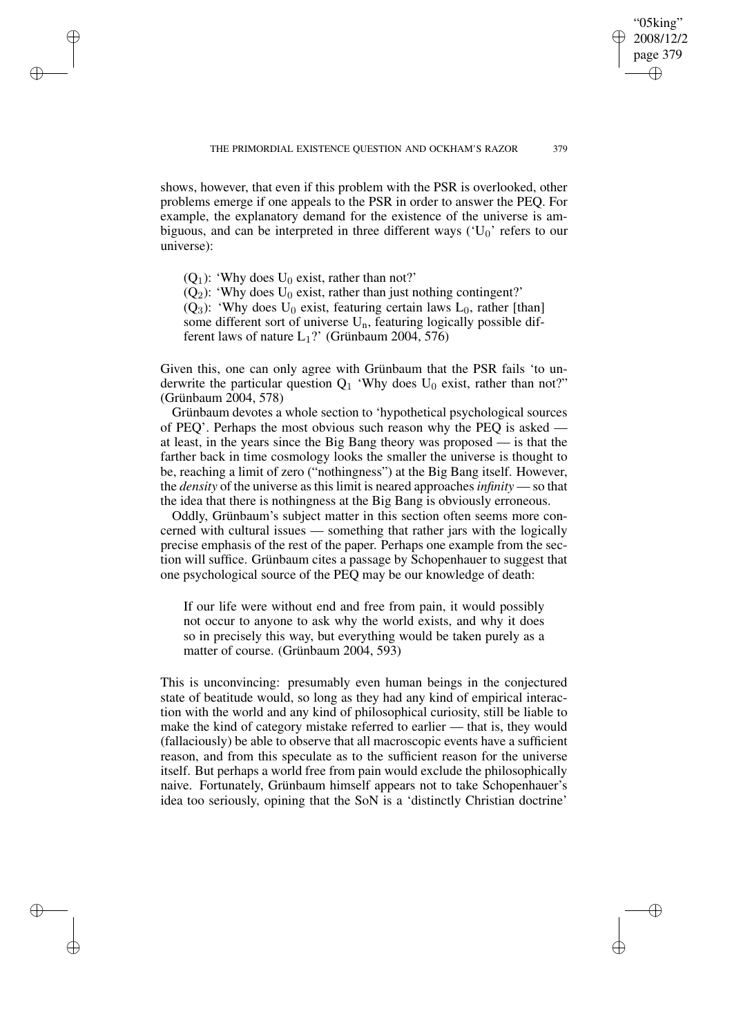"05king" 2008/12/2 page 379

✐

✐

✐

✐

shows, however, that even if this problem with the PSR is overlooked, other problems emerge if one appeals to the PSR in order to answer the PEQ. For example, the explanatory demand for the existence of the universe is ambiguous, and can be interpreted in three different ways  $(U_0)$  refers to our universe):

 $(Q_1)$ : 'Why does  $U_0$  exist, rather than not?'

✐

✐

✐

✐

 $(Q_2)$ : 'Why does U<sub>0</sub> exist, rather than just nothing contingent?'

( $Q_3$ ): 'Why does U<sub>0</sub> exist, featuring certain laws L<sub>0</sub>, rather [than] some different sort of universe  $U_n$ , featuring logically possible different laws of nature  $L_1$ ?' (Grünbaum 2004, 576)

Given this, one can only agree with Grünbaum that the PSR fails 'to underwrite the particular question  $Q_1$  'Why does  $U_0$  exist, rather than not?" (Grünbaum 2004, 578)

Grünbaum devotes a whole section to 'hypothetical psychological sources of PEQ'. Perhaps the most obvious such reason why the PEQ is asked at least, in the years since the Big Bang theory was proposed — is that the farther back in time cosmology looks the smaller the universe is thought to be, reaching a limit of zero ("nothingness") at the Big Bang itself. However, the *density* of the universe as this limit is neared approaches *infinity* — so that the idea that there is nothingness at the Big Bang is obviously erroneous.

Oddly, Grünbaum's subject matter in this section often seems more concerned with cultural issues — something that rather jars with the logically precise emphasis of the rest of the paper. Perhaps one example from the section will suffice. Grünbaum cites a passage by Schopenhauer to suggest that one psychological source of the PEQ may be our knowledge of death:

If our life were without end and free from pain, it would possibly not occur to anyone to ask why the world exists, and why it does so in precisely this way, but everything would be taken purely as a matter of course. (Grünbaum 2004, 593)

This is unconvincing: presumably even human beings in the conjectured state of beatitude would, so long as they had any kind of empirical interaction with the world and any kind of philosophical curiosity, still be liable to make the kind of category mistake referred to earlier — that is, they would (fallaciously) be able to observe that all macroscopic events have a sufficient reason, and from this speculate as to the sufficient reason for the universe itself. But perhaps a world free from pain would exclude the philosophically naive. Fortunately, Grünbaum himself appears not to take Schopenhauer's idea too seriously, opining that the SoN is a 'distinctly Christian doctrine'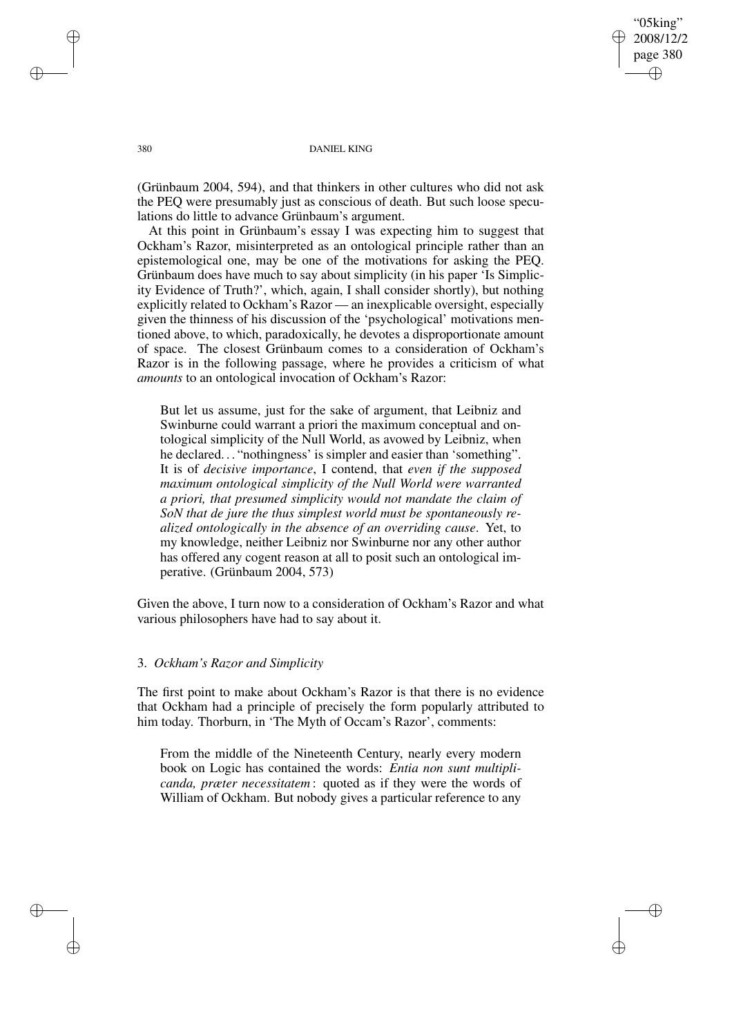"05king" 2008/12/2 page 380 ✐ ✐

✐

✐

380 DANIEL KING

(Grünbaum 2004, 594), and that thinkers in other cultures who did not ask the PEQ were presumably just as conscious of death. But such loose speculations do little to advance Grünbaum's argument.

At this point in Grünbaum's essay I was expecting him to suggest that Ockham's Razor, misinterpreted as an ontological principle rather than an epistemological one, may be one of the motivations for asking the PEQ. Grünbaum does have much to say about simplicity (in his paper 'Is Simplicity Evidence of Truth?', which, again, I shall consider shortly), but nothing explicitly related to Ockham's Razor — an inexplicable oversight, especially given the thinness of his discussion of the 'psychological' motivations mentioned above, to which, paradoxically, he devotes a disproportionate amount of space. The closest Grünbaum comes to a consideration of Ockham's Razor is in the following passage, where he provides a criticism of what *amounts* to an ontological invocation of Ockham's Razor:

But let us assume, just for the sake of argument, that Leibniz and Swinburne could warrant a priori the maximum conceptual and ontological simplicity of the Null World, as avowed by Leibniz, when he declared. . . "nothingness' is simpler and easier than 'something". It is of *decisive importance*, I contend, that *even if the supposed maximum ontological simplicity of the Null World were warranted a priori, that presumed simplicity would not mandate the claim of SoN that de jure the thus simplest world must be spontaneously realized ontologically in the absence of an overriding cause*. Yet, to my knowledge, neither Leibniz nor Swinburne nor any other author has offered any cogent reason at all to posit such an ontological imperative. (Grünbaum 2004, 573)

Given the above, I turn now to a consideration of Ockham's Razor and what various philosophers have had to say about it.

## 3. *Ockham's Razor and Simplicity*

The first point to make about Ockham's Razor is that there is no evidence that Ockham had a principle of precisely the form popularly attributed to him today. Thorburn, in 'The Myth of Occam's Razor', comments:

From the middle of the Nineteenth Century, nearly every modern book on Logic has contained the words: *Entia non sunt multiplicanda, præter necessitatem* : quoted as if they were the words of William of Ockham. But nobody gives a particular reference to any

✐

✐

✐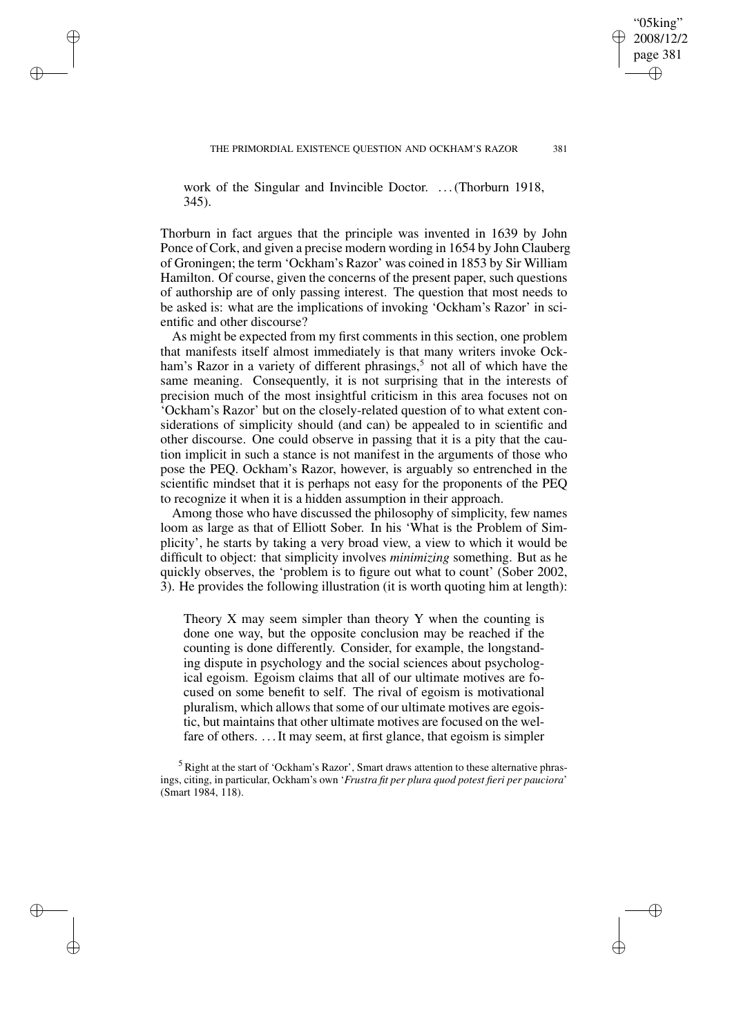"05king" 2008/12/2 page 381

✐

✐

✐

✐

work of the Singular and Invincible Doctor. ... (Thorburn 1918, 345).

✐

✐

✐

✐

Thorburn in fact argues that the principle was invented in 1639 by John Ponce of Cork, and given a precise modern wording in 1654 by John Clauberg of Groningen; the term 'Ockham's Razor' was coined in 1853 by Sir William Hamilton. Of course, given the concerns of the present paper, such questions of authorship are of only passing interest. The question that most needs to be asked is: what are the implications of invoking 'Ockham's Razor' in scientific and other discourse?

As might be expected from my first comments in this section, one problem that manifests itself almost immediately is that many writers invoke Ockham's Razor in a variety of different phrasings,<sup>5</sup> not all of which have the same meaning. Consequently, it is not surprising that in the interests of precision much of the most insightful criticism in this area focuses not on 'Ockham's Razor' but on the closely-related question of to what extent considerations of simplicity should (and can) be appealed to in scientific and other discourse. One could observe in passing that it is a pity that the caution implicit in such a stance is not manifest in the arguments of those who pose the PEQ. Ockham's Razor, however, is arguably so entrenched in the scientific mindset that it is perhaps not easy for the proponents of the PEQ to recognize it when it is a hidden assumption in their approach.

Among those who have discussed the philosophy of simplicity, few names loom as large as that of Elliott Sober. In his 'What is the Problem of Simplicity', he starts by taking a very broad view, a view to which it would be difficult to object: that simplicity involves *minimizing* something. But as he quickly observes, the 'problem is to figure out what to count' (Sober 2002, 3). He provides the following illustration (it is worth quoting him at length):

Theory X may seem simpler than theory Y when the counting is done one way, but the opposite conclusion may be reached if the counting is done differently. Consider, for example, the longstanding dispute in psychology and the social sciences about psychological egoism. Egoism claims that all of our ultimate motives are focused on some benefit to self. The rival of egoism is motivational pluralism, which allows that some of our ultimate motives are egoistic, but maintains that other ultimate motives are focused on the welfare of others. ... It may seem, at first glance, that egoism is simpler

<sup>5</sup> Right at the start of 'Ockham's Razor', Smart draws attention to these alternative phrasings, citing, in particular, Ockham's own '*Frustra fit per plura quod potest fieri per pauciora*' (Smart 1984, 118).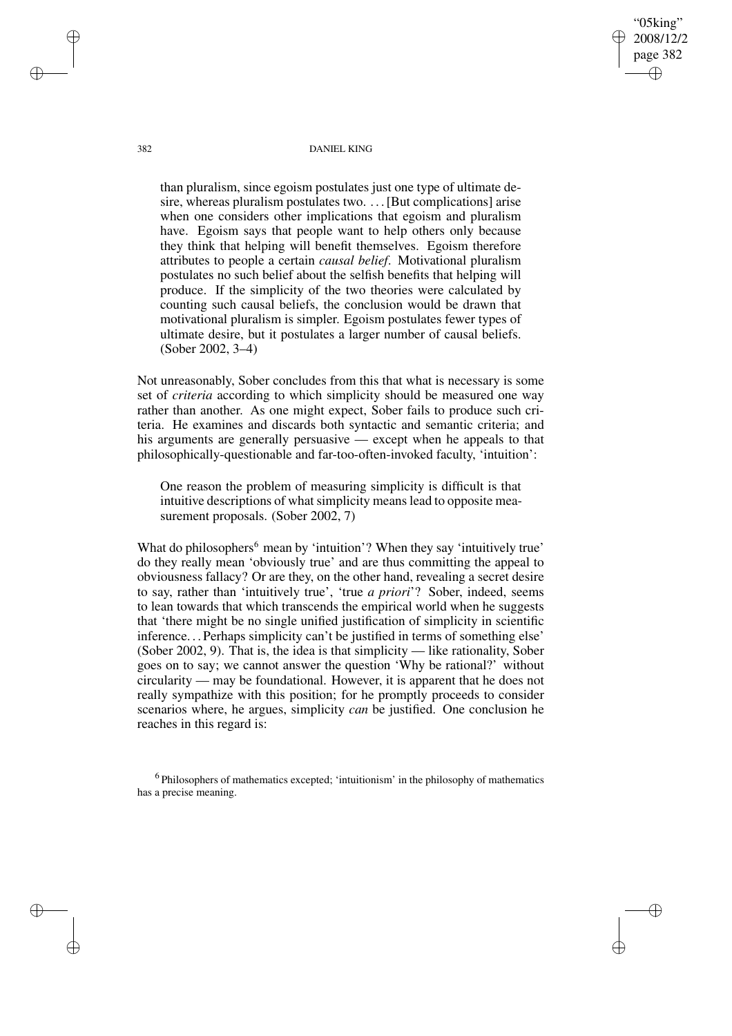382 DANIEL KING

"05king" 2008/12/2 page 382

✐

✐

✐

✐

than pluralism, since egoism postulates just one type of ultimate desire, whereas pluralism postulates two. . . . [But complications] arise when one considers other implications that egoism and pluralism have. Egoism says that people want to help others only because they think that helping will benefit themselves. Egoism therefore attributes to people a certain *causal belief*. Motivational pluralism postulates no such belief about the selfish benefits that helping will produce. If the simplicity of the two theories were calculated by counting such causal beliefs, the conclusion would be drawn that motivational pluralism is simpler. Egoism postulates fewer types of ultimate desire, but it postulates a larger number of causal beliefs. (Sober 2002, 3–4)

Not unreasonably, Sober concludes from this that what is necessary is some set of *criteria* according to which simplicity should be measured one way rather than another. As one might expect, Sober fails to produce such criteria. He examines and discards both syntactic and semantic criteria; and his arguments are generally persuasive — except when he appeals to that philosophically-questionable and far-too-often-invoked faculty, 'intuition':

One reason the problem of measuring simplicity is difficult is that intuitive descriptions of what simplicity means lead to opposite measurement proposals. (Sober 2002, 7)

What do philosophers<sup>6</sup> mean by 'intuition'? When they say 'intuitively true' do they really mean 'obviously true' and are thus committing the appeal to obviousness fallacy? Or are they, on the other hand, revealing a secret desire to say, rather than 'intuitively true', 'true *a priori*'? Sober, indeed, seems to lean towards that which transcends the empirical world when he suggests that 'there might be no single unified justification of simplicity in scientific inference. . . Perhaps simplicity can't be justified in terms of something else' (Sober 2002, 9). That is, the idea is that simplicity — like rationality, Sober goes on to say; we cannot answer the question 'Why be rational?' without circularity — may be foundational. However, it is apparent that he does not really sympathize with this position; for he promptly proceeds to consider scenarios where, he argues, simplicity *can* be justified. One conclusion he reaches in this regard is:

<sup>6</sup> Philosophers of mathematics excepted; 'intuitionism' in the philosophy of mathematics has a precise meaning.

✐

✐

✐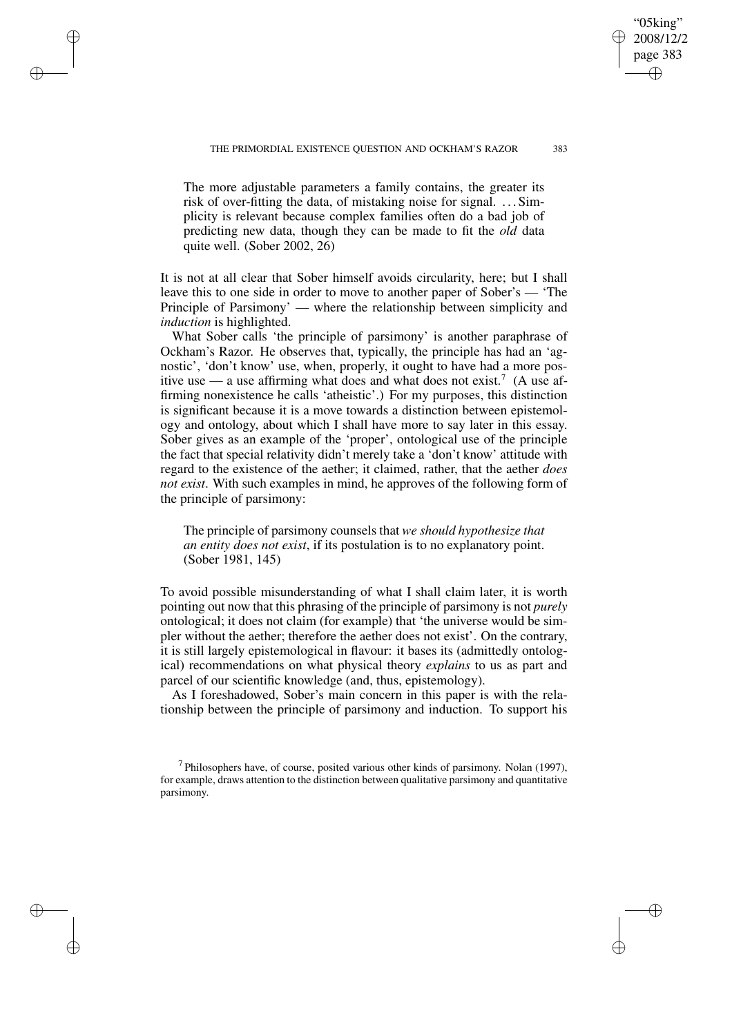The more adjustable parameters a family contains, the greater its risk of over-fitting the data, of mistaking noise for signal. . . . Simplicity is relevant because complex families often do a bad job of predicting new data, though they can be made to fit the *old* data quite well. (Sober 2002, 26)

✐

✐

✐

✐

It is not at all clear that Sober himself avoids circularity, here; but I shall leave this to one side in order to move to another paper of Sober's — 'The Principle of Parsimony' — where the relationship between simplicity and *induction* is highlighted.

What Sober calls 'the principle of parsimony' is another paraphrase of Ockham's Razor. He observes that, typically, the principle has had an 'agnostic', 'don't know' use, when, properly, it ought to have had a more positive use  $-$  a use affirming what does and what does not exist.<sup>7</sup> (A use affirming nonexistence he calls 'atheistic'.) For my purposes, this distinction is significant because it is a move towards a distinction between epistemology and ontology, about which I shall have more to say later in this essay. Sober gives as an example of the 'proper', ontological use of the principle the fact that special relativity didn't merely take a 'don't know' attitude with regard to the existence of the aether; it claimed, rather, that the aether *does not exist*. With such examples in mind, he approves of the following form of the principle of parsimony:

The principle of parsimony counsels that *we should hypothesize that an entity does not exist*, if its postulation is to no explanatory point. (Sober 1981, 145)

To avoid possible misunderstanding of what I shall claim later, it is worth pointing out now that this phrasing of the principle of parsimony is not *purely* ontological; it does not claim (for example) that 'the universe would be simpler without the aether; therefore the aether does not exist'. On the contrary, it is still largely epistemological in flavour: it bases its (admittedly ontological) recommendations on what physical theory *explains* to us as part and parcel of our scientific knowledge (and, thus, epistemology).

As I foreshadowed, Sober's main concern in this paper is with the relationship between the principle of parsimony and induction. To support his

"05king" 2008/12/2 page 383

✐

✐

✐

 $<sup>7</sup>$  Philosophers have, of course, posited various other kinds of parsimony. Nolan (1997),</sup> for example, draws attention to the distinction between qualitative parsimony and quantitative parsimony.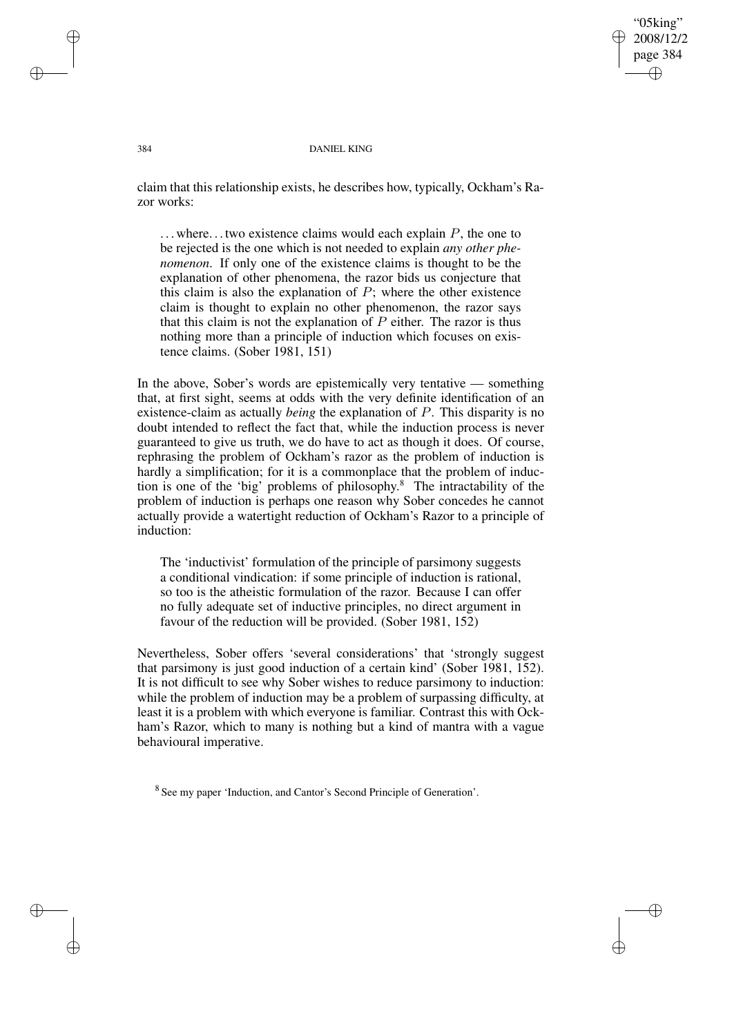"05king" 2008/12/2 page 384 ✐ ✐

✐

✐

#### 384 DANIEL KING

claim that this relationship exists, he describes how, typically, Ockham's Razor works:

 $\dots$  where... two existence claims would each explain  $P$ , the one to be rejected is the one which is not needed to explain *any other phenomenon*. If only one of the existence claims is thought to be the explanation of other phenomena, the razor bids us conjecture that this claim is also the explanation of  $P$ ; where the other existence claim is thought to explain no other phenomenon, the razor says that this claim is not the explanation of  $P$  either. The razor is thus nothing more than a principle of induction which focuses on existence claims. (Sober 1981, 151)

In the above, Sober's words are epistemically very tentative — something that, at first sight, seems at odds with the very definite identification of an existence-claim as actually *being* the explanation of P. This disparity is no doubt intended to reflect the fact that, while the induction process is never guaranteed to give us truth, we do have to act as though it does. Of course, rephrasing the problem of Ockham's razor as the problem of induction is hardly a simplification; for it is a commonplace that the problem of induction is one of the 'big' problems of philosophy. <sup>8</sup> The intractability of the problem of induction is perhaps one reason why Sober concedes he cannot actually provide a watertight reduction of Ockham's Razor to a principle of induction:

The 'inductivist' formulation of the principle of parsimony suggests a conditional vindication: if some principle of induction is rational, so too is the atheistic formulation of the razor. Because I can offer no fully adequate set of inductive principles, no direct argument in favour of the reduction will be provided. (Sober 1981, 152)

Nevertheless, Sober offers 'several considerations' that 'strongly suggest that parsimony is just good induction of a certain kind' (Sober 1981, 152). It is not difficult to see why Sober wishes to reduce parsimony to induction: while the problem of induction may be a problem of surpassing difficulty, at least it is a problem with which everyone is familiar. Contrast this with Ockham's Razor, which to many is nothing but a kind of mantra with a vague behavioural imperative.

<sup>8</sup> See my paper 'Induction, and Cantor's Second Principle of Generation'.

✐

✐

✐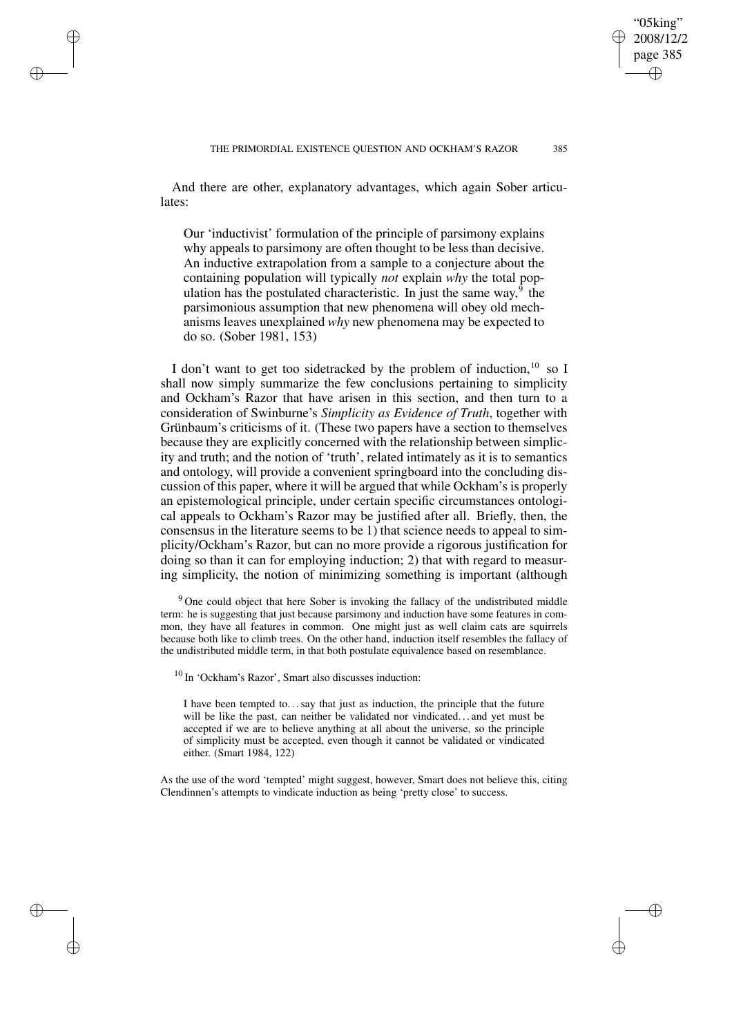"05king" 2008/12/2 page 385

✐

✐

✐

✐

And there are other, explanatory advantages, which again Sober articulates:

✐

✐

✐

✐

Our 'inductivist' formulation of the principle of parsimony explains why appeals to parsimony are often thought to be less than decisive. An inductive extrapolation from a sample to a conjecture about the containing population will typically *not* explain *why* the total population has the postulated characteristic. In just the same way,<sup>9</sup> the parsimonious assumption that new phenomena will obey old mechanisms leaves unexplained *why* new phenomena may be expected to do so. (Sober 1981, 153)

I don't want to get too sidetracked by the problem of induction,<sup>10</sup> so I shall now simply summarize the few conclusions pertaining to simplicity and Ockham's Razor that have arisen in this section, and then turn to a consideration of Swinburne's *Simplicity as Evidence of Truth*, together with Grünbaum's criticisms of it. (These two papers have a section to themselves because they are explicitly concerned with the relationship between simplicity and truth; and the notion of 'truth', related intimately as it is to semantics and ontology, will provide a convenient springboard into the concluding discussion of this paper, where it will be argued that while Ockham's is properly an epistemological principle, under certain specific circumstances ontological appeals to Ockham's Razor may be justified after all. Briefly, then, the consensus in the literature seems to be 1) that science needs to appeal to simplicity/Ockham's Razor, but can no more provide a rigorous justification for doing so than it can for employing induction; 2) that with regard to measuring simplicity, the notion of minimizing something is important (although

 $9$  One could object that here Sober is invoking the fallacy of the undistributed middle term: he is suggesting that just because parsimony and induction have some features in common, they have all features in common. One might just as well claim cats are squirrels because both like to climb trees. On the other hand, induction itself resembles the fallacy of the undistributed middle term, in that both postulate equivalence based on resemblance.

<sup>10</sup> In 'Ockham's Razor', Smart also discusses induction:

I have been tempted to. . .say that just as induction, the principle that the future will be like the past, can neither be validated nor vindicated. . . and yet must be accepted if we are to believe anything at all about the universe, so the principle of simplicity must be accepted, even though it cannot be validated or vindicated either. (Smart 1984, 122)

As the use of the word 'tempted' might suggest, however, Smart does not believe this, citing Clendinnen's attempts to vindicate induction as being 'pretty close' to success.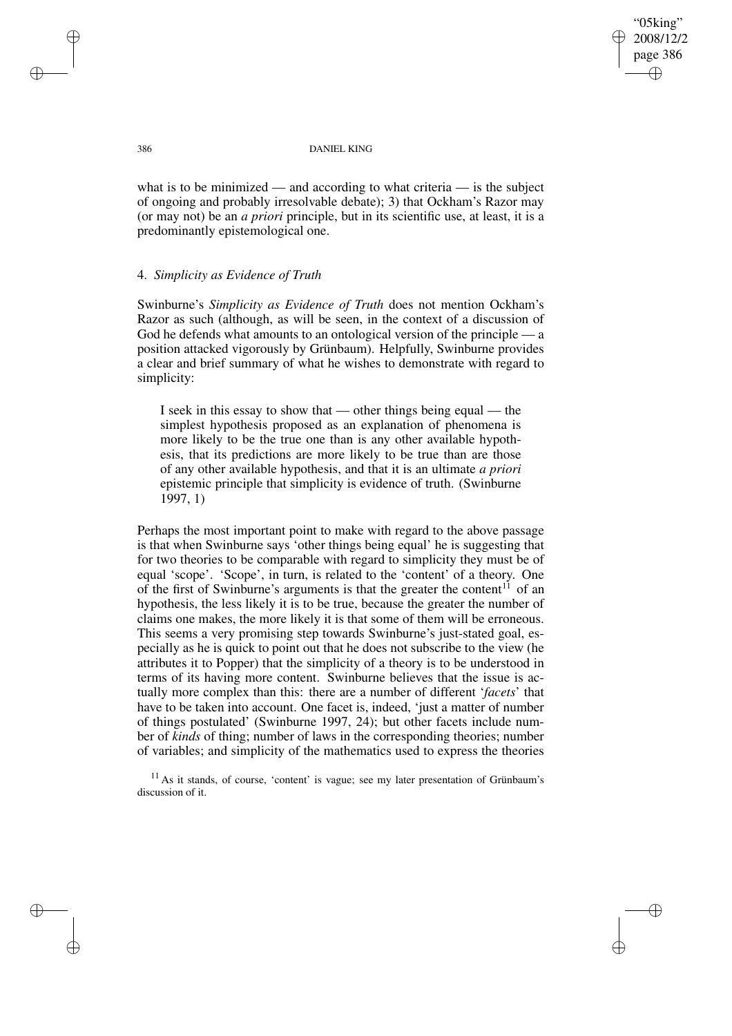"05king" 2008/12/2 page 386 ✐ ✐

✐

✐

#### 386 DANIEL KING

what is to be minimized — and according to what criteria — is the subject of ongoing and probably irresolvable debate); 3) that Ockham's Razor may (or may not) be an *a priori* principle, but in its scientific use, at least, it is a predominantly epistemological one.

## 4. *Simplicity as Evidence of Truth*

Swinburne's *Simplicity as Evidence of Truth* does not mention Ockham's Razor as such (although, as will be seen, in the context of a discussion of God he defends what amounts to an ontological version of the principle — a position attacked vigorously by Grünbaum). Helpfully, Swinburne provides a clear and brief summary of what he wishes to demonstrate with regard to simplicity:

I seek in this essay to show that — other things being equal — the simplest hypothesis proposed as an explanation of phenomena is more likely to be the true one than is any other available hypothesis, that its predictions are more likely to be true than are those of any other available hypothesis, and that it is an ultimate *a priori* epistemic principle that simplicity is evidence of truth. (Swinburne 1997, 1)

Perhaps the most important point to make with regard to the above passage is that when Swinburne says 'other things being equal' he is suggesting that for two theories to be comparable with regard to simplicity they must be of equal 'scope'. 'Scope', in turn, is related to the 'content' of a theory. One of the first of Swinburne's arguments is that the greater the content<sup>11</sup> of an hypothesis, the less likely it is to be true, because the greater the number of claims one makes, the more likely it is that some of them will be erroneous. This seems a very promising step towards Swinburne's just-stated goal, especially as he is quick to point out that he does not subscribe to the view (he attributes it to Popper) that the simplicity of a theory is to be understood in terms of its having more content. Swinburne believes that the issue is actually more complex than this: there are a number of different '*facets*' that have to be taken into account. One facet is, indeed, 'just a matter of number of things postulated' (Swinburne 1997, 24); but other facets include number of *kinds* of thing; number of laws in the corresponding theories; number of variables; and simplicity of the mathematics used to express the theories

 $11$  As it stands, of course, 'content' is vague; see my later presentation of Grünbaum's discussion of it.

✐

✐

✐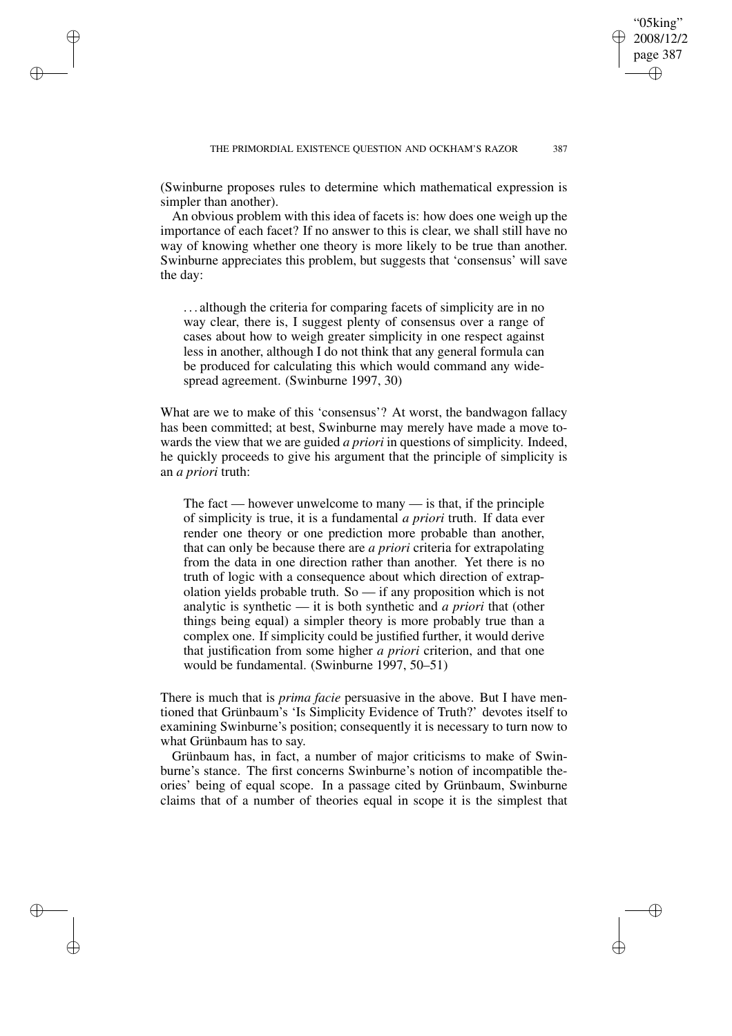"05king" 2008/12/2 page 387

✐

✐

✐

✐

(Swinburne proposes rules to determine which mathematical expression is simpler than another).

✐

✐

✐

✐

An obvious problem with this idea of facets is: how does one weigh up the importance of each facet? If no answer to this is clear, we shall still have no way of knowing whether one theory is more likely to be true than another. Swinburne appreciates this problem, but suggests that 'consensus' will save the day:

. . . although the criteria for comparing facets of simplicity are in no way clear, there is, I suggest plenty of consensus over a range of cases about how to weigh greater simplicity in one respect against less in another, although I do not think that any general formula can be produced for calculating this which would command any widespread agreement. (Swinburne 1997, 30)

What are we to make of this 'consensus'? At worst, the bandwagon fallacy has been committed; at best, Swinburne may merely have made a move towards the view that we are guided *a priori* in questions of simplicity. Indeed, he quickly proceeds to give his argument that the principle of simplicity is an *a priori* truth:

The fact — however unwelcome to many — is that, if the principle of simplicity is true, it is a fundamental *a priori* truth. If data ever render one theory or one prediction more probable than another, that can only be because there are *a priori* criteria for extrapolating from the data in one direction rather than another. Yet there is no truth of logic with a consequence about which direction of extrapolation yields probable truth. So — if any proposition which is not analytic is synthetic — it is both synthetic and *a priori* that (other things being equal) a simpler theory is more probably true than a complex one. If simplicity could be justified further, it would derive that justification from some higher *a priori* criterion, and that one would be fundamental. (Swinburne 1997, 50–51)

There is much that is *prima facie* persuasive in the above. But I have mentioned that Grünbaum's 'Is Simplicity Evidence of Truth?' devotes itself to examining Swinburne's position; consequently it is necessary to turn now to what Grünbaum has to say.

Grünbaum has, in fact, a number of major criticisms to make of Swinburne's stance. The first concerns Swinburne's notion of incompatible theories' being of equal scope. In a passage cited by Grünbaum, Swinburne claims that of a number of theories equal in scope it is the simplest that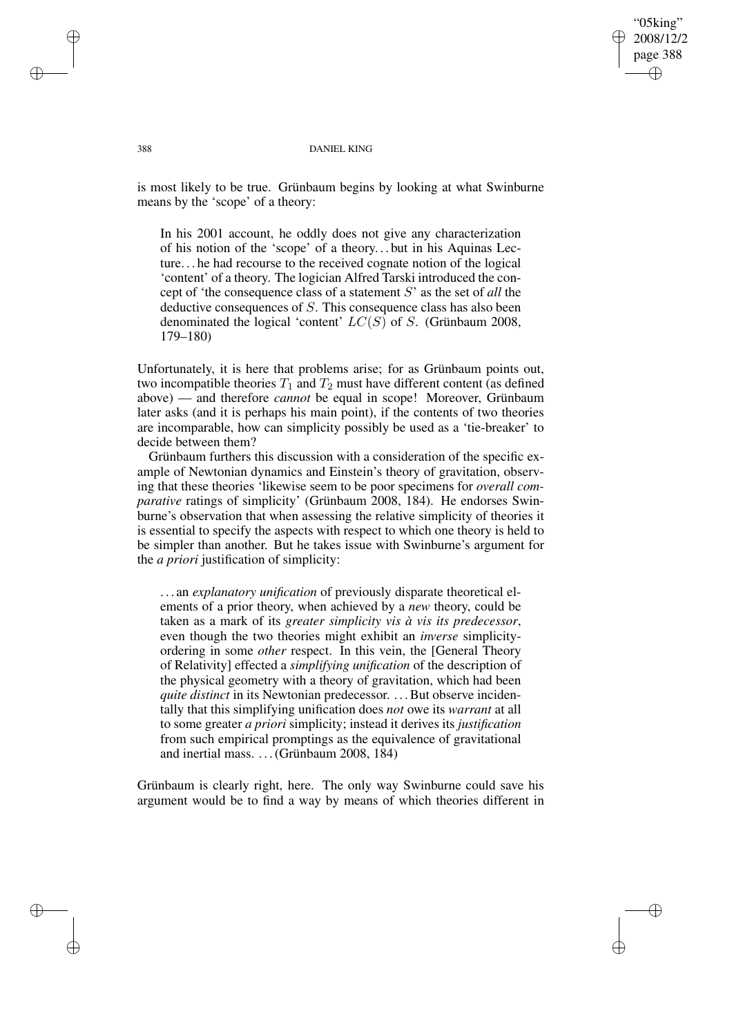'05king' 2008/12/2 page 388 ✐ ✐

✐

✐

#### 388 DANIEL KING

is most likely to be true. Grünbaum begins by looking at what Swinburne means by the 'scope' of a theory:

In his 2001 account, he oddly does not give any characterization of his notion of the 'scope' of a theory. . . but in his Aquinas Lecture. . . he had recourse to the received cognate notion of the logical 'content' of a theory. The logician Alfred Tarski introduced the concept of 'the consequence class of a statement S' as the set of *all* the deductive consequences of S. This consequence class has also been denominated the logical 'content'  $LC(S)$  of S. (Grünbaum 2008, 179–180)

Unfortunately, it is here that problems arise; for as Grünbaum points out, two incompatible theories  $T_1$  and  $T_2$  must have different content (as defined above) — and therefore *cannot* be equal in scope! Moreover, Grünbaum later asks (and it is perhaps his main point), if the contents of two theories are incomparable, how can simplicity possibly be used as a 'tie-breaker' to decide between them?

Grünbaum furthers this discussion with a consideration of the specific example of Newtonian dynamics and Einstein's theory of gravitation, observing that these theories 'likewise seem to be poor specimens for *overall comparative* ratings of simplicity' (Grünbaum 2008, 184). He endorses Swinburne's observation that when assessing the relative simplicity of theories it is essential to specify the aspects with respect to which one theory is held to be simpler than another. But he takes issue with Swinburne's argument for the *a priori* justification of simplicity:

. . . an *explanatory unification* of previously disparate theoretical elements of a prior theory, when achieved by a *new* theory, could be taken as a mark of its *greater simplicity vis à vis its predecessor*, even though the two theories might exhibit an *inverse* simplicityordering in some *other* respect. In this vein, the [General Theory of Relativity] effected a *simplifying unification* of the description of the physical geometry with a theory of gravitation, which had been *quite distinct* in its Newtonian predecessor. . . . But observe incidentally that this simplifying unification does *not* owe its *warrant* at all to some greater *a priori* simplicity; instead it derives its *justification* from such empirical promptings as the equivalence of gravitational and inertial mass. . . .(Grünbaum 2008, 184)

Grünbaum is clearly right, here. The only way Swinburne could save his argument would be to find a way by means of which theories different in

✐

✐

✐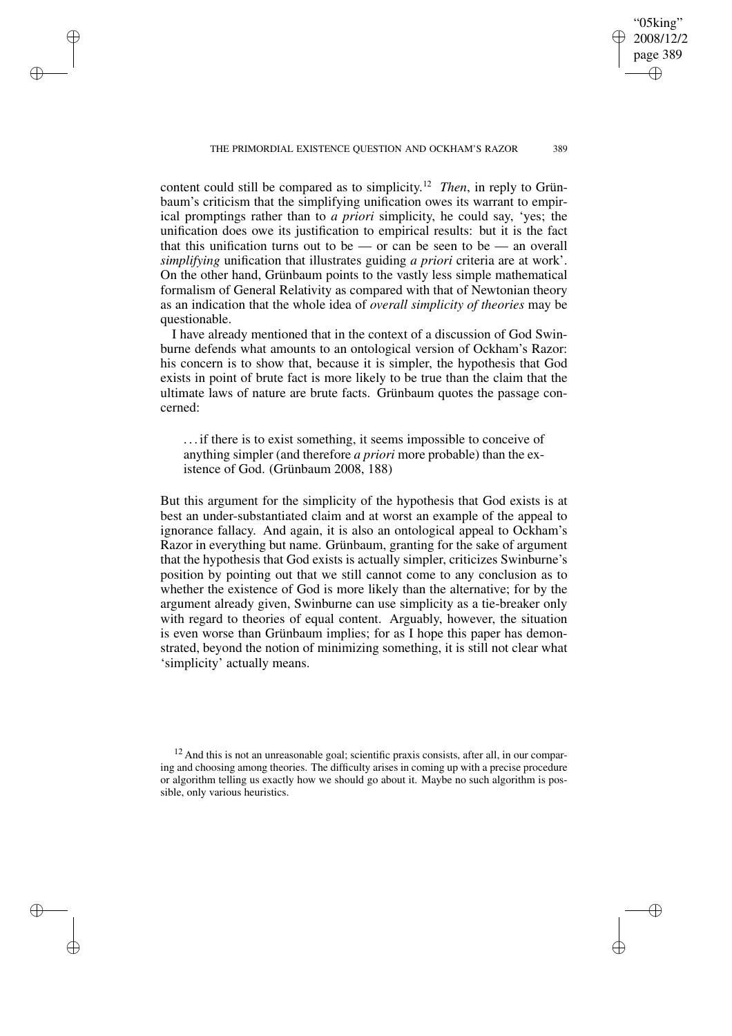✐

✐

✐

✐

"05king" 2008/12/2 page 389

✐

✐

✐

✐

content could still be compared as to simplicity. <sup>12</sup> *Then*, in reply to Grünbaum's criticism that the simplifying unification owes its warrant to empirical promptings rather than to *a priori* simplicity, he could say, 'yes; the unification does owe its justification to empirical results: but it is the fact that this unification turns out to be — or can be seen to be — an overall *simplifying* unification that illustrates guiding *a priori* criteria are at work'. On the other hand, Grünbaum points to the vastly less simple mathematical formalism of General Relativity as compared with that of Newtonian theory as an indication that the whole idea of *overall simplicity of theories* may be questionable.

I have already mentioned that in the context of a discussion of God Swinburne defends what amounts to an ontological version of Ockham's Razor: his concern is to show that, because it is simpler, the hypothesis that God exists in point of brute fact is more likely to be true than the claim that the ultimate laws of nature are brute facts. Grünbaum quotes the passage concerned:

. . . if there is to exist something, it seems impossible to conceive of anything simpler (and therefore *a priori* more probable) than the existence of God. (Grünbaum 2008, 188)

But this argument for the simplicity of the hypothesis that God exists is at best an under-substantiated claim and at worst an example of the appeal to ignorance fallacy. And again, it is also an ontological appeal to Ockham's Razor in everything but name. Grünbaum, granting for the sake of argument that the hypothesis that God exists is actually simpler, criticizes Swinburne's position by pointing out that we still cannot come to any conclusion as to whether the existence of God is more likely than the alternative; for by the argument already given, Swinburne can use simplicity as a tie-breaker only with regard to theories of equal content. Arguably, however, the situation is even worse than Grünbaum implies; for as I hope this paper has demonstrated, beyond the notion of minimizing something, it is still not clear what 'simplicity' actually means.

 $12$  And this is not an unreasonable goal; scientific praxis consists, after all, in our comparing and choosing among theories. The difficulty arises in coming up with a precise procedure or algorithm telling us exactly how we should go about it. Maybe no such algorithm is possible, only various heuristics.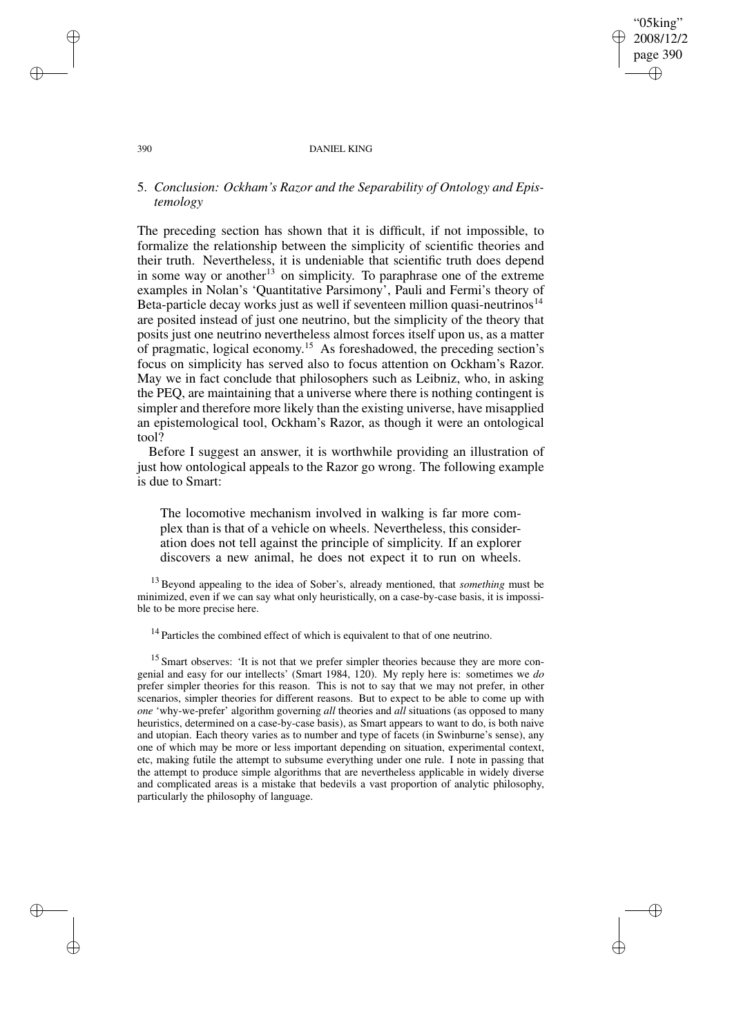"05king" 2008/12/2 page 390 ✐ ✐

✐

✐

#### 390 DANIEL KING

# 5. *Conclusion: Ockham's Razor and the Separability of Ontology and Epistemology*

The preceding section has shown that it is difficult, if not impossible, to formalize the relationship between the simplicity of scientific theories and their truth. Nevertheless, it is undeniable that scientific truth does depend in some way or another<sup>13</sup> on simplicity. To paraphrase one of the extreme examples in Nolan's 'Quantitative Parsimony', Pauli and Fermi's theory of Beta-particle decay works just as well if seventeen million quasi-neutrinos<sup>14</sup> are posited instead of just one neutrino, but the simplicity of the theory that posits just one neutrino nevertheless almost forces itself upon us, as a matter of pragmatic, logical economy. <sup>15</sup> As foreshadowed, the preceding section's focus on simplicity has served also to focus attention on Ockham's Razor. May we in fact conclude that philosophers such as Leibniz, who, in asking the PEQ, are maintaining that a universe where there is nothing contingent is simpler and therefore more likely than the existing universe, have misapplied an epistemological tool, Ockham's Razor, as though it were an ontological tool?

Before I suggest an answer, it is worthwhile providing an illustration of just how ontological appeals to the Razor go wrong. The following example is due to Smart:

The locomotive mechanism involved in walking is far more complex than is that of a vehicle on wheels. Nevertheless, this consideration does not tell against the principle of simplicity. If an explorer discovers a new animal, he does not expect it to run on wheels.

<sup>13</sup> Beyond appealing to the idea of Sober's, already mentioned, that *something* must be minimized, even if we can say what only heuristically, on a case-by-case basis, it is impossible to be more precise here.

<sup>14</sup> Particles the combined effect of which is equivalent to that of one neutrino.

<sup>15</sup> Smart observes: 'It is not that we prefer simpler theories because they are more congenial and easy for our intellects' (Smart 1984, 120). My reply here is: sometimes we *do* prefer simpler theories for this reason. This is not to say that we may not prefer, in other scenarios, simpler theories for different reasons. But to expect to be able to come up with *one* 'why-we-prefer' algorithm governing *all* theories and *all* situations (as opposed to many heuristics, determined on a case-by-case basis), as Smart appears to want to do, is both naive and utopian. Each theory varies as to number and type of facets (in Swinburne's sense), any one of which may be more or less important depending on situation, experimental context, etc, making futile the attempt to subsume everything under one rule. I note in passing that the attempt to produce simple algorithms that are nevertheless applicable in widely diverse and complicated areas is a mistake that bedevils a vast proportion of analytic philosophy, particularly the philosophy of language.

✐

✐

✐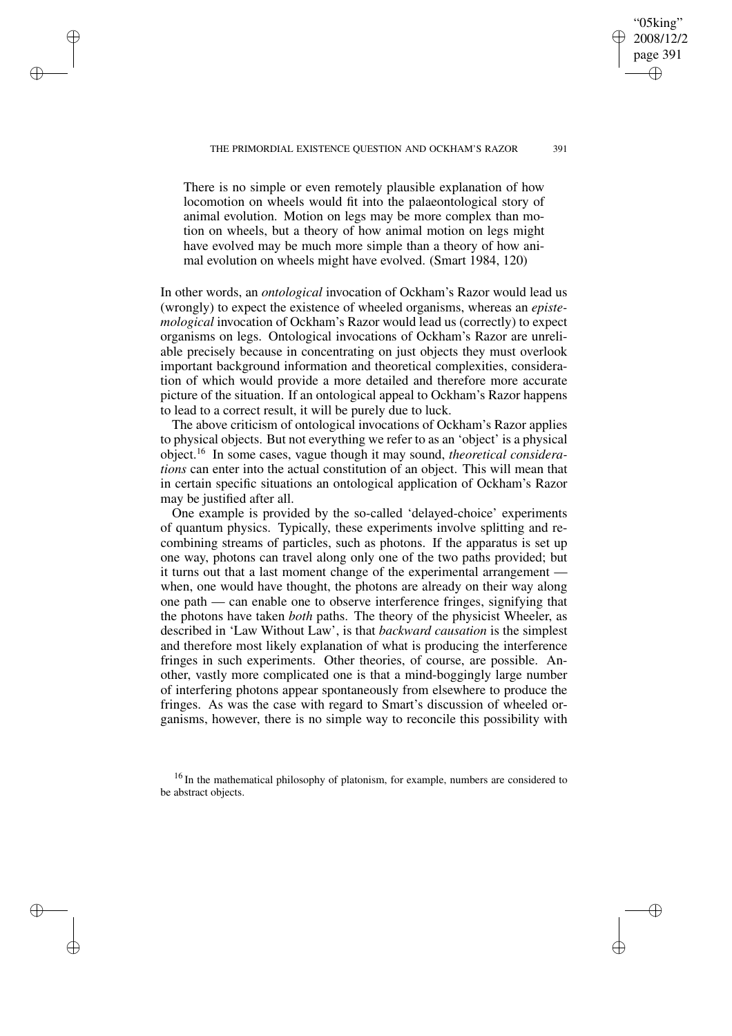"05king" 2008/12/2 page 391

✐

✐

✐

✐

There is no simple or even remotely plausible explanation of how locomotion on wheels would fit into the palaeontological story of animal evolution. Motion on legs may be more complex than motion on wheels, but a theory of how animal motion on legs might have evolved may be much more simple than a theory of how animal evolution on wheels might have evolved. (Smart 1984, 120)

✐

✐

✐

✐

In other words, an *ontological* invocation of Ockham's Razor would lead us (wrongly) to expect the existence of wheeled organisms, whereas an *epistemological* invocation of Ockham's Razor would lead us (correctly) to expect organisms on legs. Ontological invocations of Ockham's Razor are unreliable precisely because in concentrating on just objects they must overlook important background information and theoretical complexities, consideration of which would provide a more detailed and therefore more accurate picture of the situation. If an ontological appeal to Ockham's Razor happens to lead to a correct result, it will be purely due to luck.

The above criticism of ontological invocations of Ockham's Razor applies to physical objects. But not everything we refer to as an 'object' is a physical object.<sup>16</sup> In some cases, vague though it may sound, *theoretical considerations* can enter into the actual constitution of an object. This will mean that in certain specific situations an ontological application of Ockham's Razor may be justified after all.

One example is provided by the so-called 'delayed-choice' experiments of quantum physics. Typically, these experiments involve splitting and recombining streams of particles, such as photons. If the apparatus is set up one way, photons can travel along only one of the two paths provided; but it turns out that a last moment change of the experimental arrangement when, one would have thought, the photons are already on their way along one path — can enable one to observe interference fringes, signifying that the photons have taken *both* paths. The theory of the physicist Wheeler, as described in 'Law Without Law', is that *backward causation* is the simplest and therefore most likely explanation of what is producing the interference fringes in such experiments. Other theories, of course, are possible. Another, vastly more complicated one is that a mind-boggingly large number of interfering photons appear spontaneously from elsewhere to produce the fringes. As was the case with regard to Smart's discussion of wheeled organisms, however, there is no simple way to reconcile this possibility with

<sup>&</sup>lt;sup>16</sup> In the mathematical philosophy of platonism, for example, numbers are considered to be abstract objects.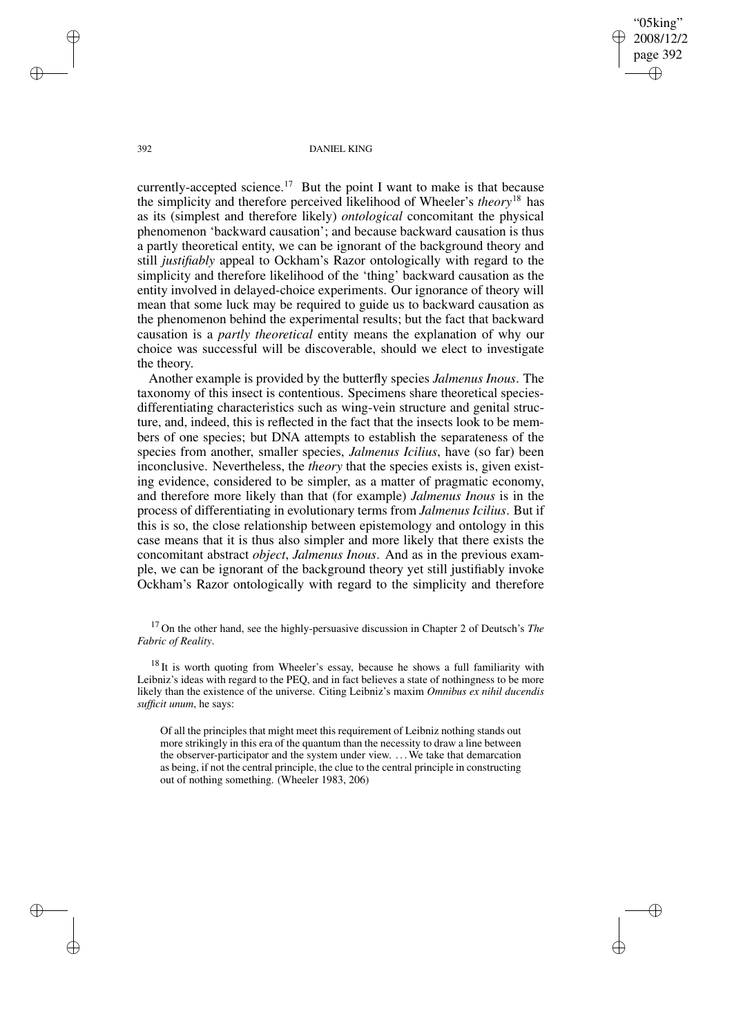"05king" 2008/12/2 page 392 ✐ ✐

✐

✐

392 DANIEL KING

currently-accepted science.<sup>17</sup> But the point I want to make is that because the simplicity and therefore perceived likelihood of Wheeler's *theory*<sup>18</sup> has as its (simplest and therefore likely) *ontological* concomitant the physical phenomenon 'backward causation'; and because backward causation is thus a partly theoretical entity, we can be ignorant of the background theory and still *justifiably* appeal to Ockham's Razor ontologically with regard to the simplicity and therefore likelihood of the 'thing' backward causation as the entity involved in delayed-choice experiments. Our ignorance of theory will mean that some luck may be required to guide us to backward causation as the phenomenon behind the experimental results; but the fact that backward causation is a *partly theoretical* entity means the explanation of why our choice was successful will be discoverable, should we elect to investigate the theory.

Another example is provided by the butterfly species *Jalmenus Inous*. The taxonomy of this insect is contentious. Specimens share theoretical speciesdifferentiating characteristics such as wing-vein structure and genital structure, and, indeed, this is reflected in the fact that the insects look to be members of one species; but DNA attempts to establish the separateness of the species from another, smaller species, *Jalmenus Icilius*, have (so far) been inconclusive. Nevertheless, the *theory* that the species exists is, given existing evidence, considered to be simpler, as a matter of pragmatic economy, and therefore more likely than that (for example) *Jalmenus Inous* is in the process of differentiating in evolutionary terms from *Jalmenus Icilius*. But if this is so, the close relationship between epistemology and ontology in this case means that it is thus also simpler and more likely that there exists the concomitant abstract *object*, *Jalmenus Inous*. And as in the previous example, we can be ignorant of the background theory yet still justifiably invoke Ockham's Razor ontologically with regard to the simplicity and therefore

<sup>17</sup> On the other hand, see the highly-persuasive discussion in Chapter 2 of Deutsch's *The Fabric of Reality*.

<sup>18</sup> It is worth quoting from Wheeler's essay, because he shows a full familiarity with Leibniz's ideas with regard to the PEQ, and in fact believes a state of nothingness to be more likely than the existence of the universe. Citing Leibniz's maxim *Omnibus ex nihil ducendis sufficit unum*, he says:

Of all the principles that might meet this requirement of Leibniz nothing stands out more strikingly in this era of the quantum than the necessity to draw a line between the observer-participator and the system under view. . . .We take that demarcation as being, if not the central principle, the clue to the central principle in constructing out of nothing something. (Wheeler 1983, 206)

✐

✐

✐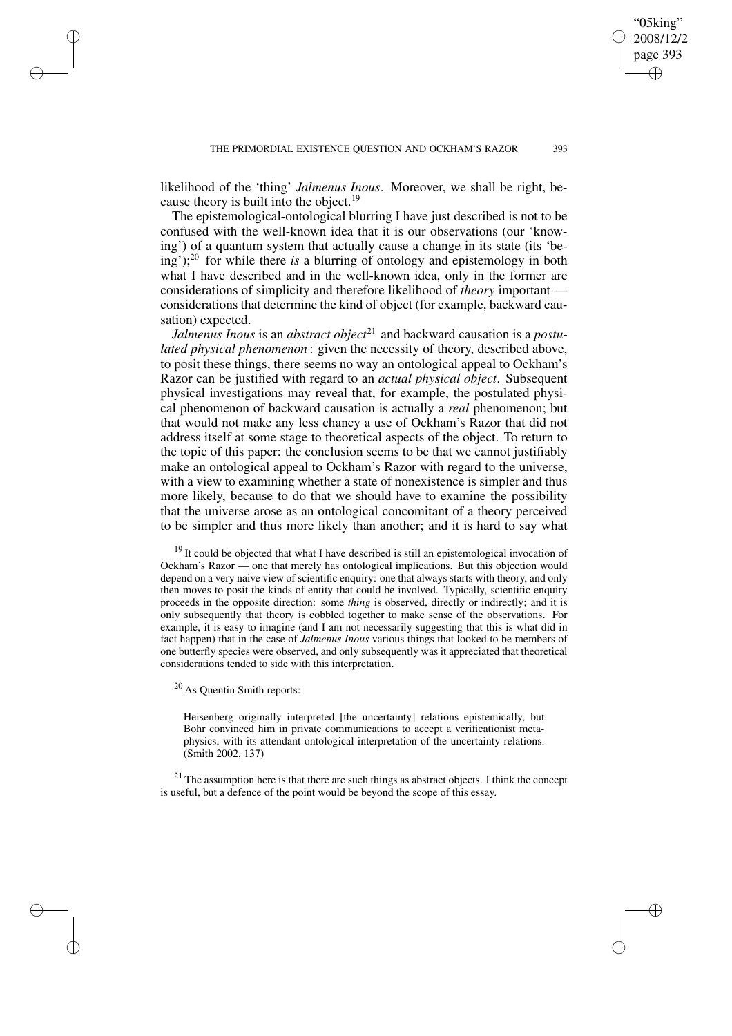likelihood of the 'thing' *Jalmenus Inous*. Moreover, we shall be right, because theory is built into the object.<sup>19</sup>

The epistemological-ontological blurring I have just described is not to be confused with the well-known idea that it is our observations (our 'knowing') of a quantum system that actually cause a change in its state (its 'being');<sup>20</sup> for while there *is* a blurring of ontology and epistemology in both what I have described and in the well-known idea, only in the former are considerations of simplicity and therefore likelihood of *theory* important considerations that determine the kind of object (for example, backward causation) expected.

*Jalmenus Inous* is an *abstract object*<sup>21</sup> and backward causation is a *postulated physical phenomenon* : given the necessity of theory, described above, to posit these things, there seems no way an ontological appeal to Ockham's Razor can be justified with regard to an *actual physical object*. Subsequent physical investigations may reveal that, for example, the postulated physical phenomenon of backward causation is actually a *real* phenomenon; but that would not make any less chancy a use of Ockham's Razor that did not address itself at some stage to theoretical aspects of the object. To return to the topic of this paper: the conclusion seems to be that we cannot justifiably make an ontological appeal to Ockham's Razor with regard to the universe, with a view to examining whether a state of nonexistence is simpler and thus more likely, because to do that we should have to examine the possibility that the universe arose as an ontological concomitant of a theory perceived to be simpler and thus more likely than another; and it is hard to say what

 $19$  It could be objected that what I have described is still an epistemological invocation of Ockham's Razor — one that merely has ontological implications. But this objection would depend on a very naive view of scientific enquiry: one that always starts with theory, and only then moves to posit the kinds of entity that could be involved. Typically, scientific enquiry proceeds in the opposite direction: some *thing* is observed, directly or indirectly; and it is only subsequently that theory is cobbled together to make sense of the observations. For example, it is easy to imagine (and I am not necessarily suggesting that this is what did in fact happen) that in the case of *Jalmenus Inous* various things that looked to be members of one butterfly species were observed, and only subsequently was it appreciated that theoretical considerations tended to side with this interpretation.

<sup>20</sup> As Quentin Smith reports:

✐

✐

✐

✐

Heisenberg originally interpreted [the uncertainty] relations epistemically, but Bohr convinced him in private communications to accept a verificationist metaphysics, with its attendant ontological interpretation of the uncertainty relations. (Smith 2002, 137)

 $21$  The assumption here is that there are such things as abstract objects. I think the concept is useful, but a defence of the point would be beyond the scope of this essay.

"05king" 2008/12/2 page 393

✐

✐

✐